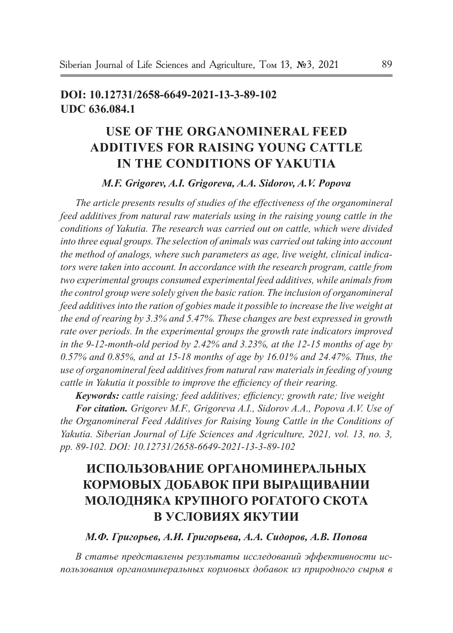## **doi: 10.12731/2658-6649-2021-13-3-89-102 UDC 636.084.1**

## **USE OF THE ORGANOMINERAL FEED ADDITIVES FOR RAISING YOUNG CATTLE IN THE CONDITIONS OF YAKUTIA**

## *M.F. Grigorev, A.I. Grigoreva, A.A. Sidorov, A.V. Popova*

*The article presents results of studies of the effectiveness of the organomineral feed additives from natural raw materials using in the raising young cattle in the conditions of Yakutia. The research was carried out on cattle, which were divided into three equal groups. The selection of animals was carried out taking into account the method of analogs, where such parameters as age, live weight, clinical indicators were taken into account. In accordance with the research program, cattle from two experimental groups consumed experimental feed additives, while animals from the control group were solely given the basic ration. The inclusion of organomineral feed additives into the ration of gobies made it possible to increase the live weight at the end of rearing by 3.3% and 5.47%. These changes are best expressed in growth rate over periods. In the experimental groups the growth rate indicators improved in the 9-12-month-old period by 2.42% and 3.23%, at the 12-15 months of age by 0.57% and 0.85%, and at 15-18 months of age by 16.01% and 24.47%. Thus, the use of organomineral feed additives from natural raw materials in feeding of young cattle in Yakutia it possible to improve the efficiency of their rearing.*

*Keywords: cattle raising; feed additives; efficiency; growth rate; live weight*

*For citation. Grigorev M.F., Grigoreva A.I., Sidorov A.A., Popova A.V. Use of the Organomineral Feed Additives for Raising Young Cattle in the Conditions of Yakutia. Siberian Journal of Life Sciences and Agriculture, 2021, vol. 13, no. 3, pp. 89-102. DOI: 10.12731/2658-6649-2021-13-3-89-102* 

# **ИСПОЛЬЗОВАНИЕ ОРГАНОМИНЕРАЛЬНЫХ КОРМОВЫХ ДОБАВОК ПРИ ВЫРАЩИВАНИИ МОЛОДНЯКА КРУПНОГО РОГАТОГО СКОТА В УСЛОВИЯХ ЯКУТИИ**

*М.Ф. Григорьев, А.И. Григорьева, А.А. Сидоров, А.В. Попова*

*В статье представлены результаты исследований эффективности использования органоминеральных кормовых добавок из природного сырья в*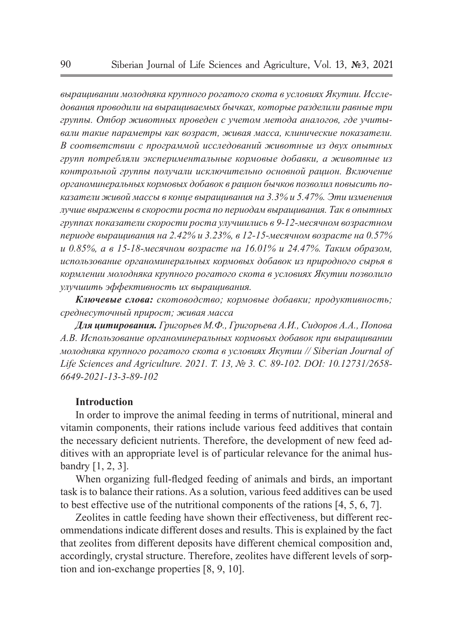*выращивании молодняка крупного рогатого скота в условиях Якутии. Исследования проводили на выращиваемых бычках, которые разделили равные три группы. Отбор животных проведен с учетом метода аналогов, где учитывали такие параметры как возраст, живая масса, клинические показатели. В соответствии с программой исследований животные из двух опытных групп потребляли экспериментальные кормовые добавки, а животные из контрольной группы получали исключительно основной рацион. Включение органоминеральных кормовых добавок в рацион бычков позволил повысить показатели живой массы в конце выращивания на 3.3% и 5.47%. Эти изменения лучше выражены в скорости роста по периодам выращивания. Так в опытных группах показатели скорости роста улучшились в 9-12-месячном возрастном периоде выращивания на 2.42% и 3.23%, в 12-15-месячном возрасте на 0.57% и 0.85%, а в 15-18-месячном возрасте на 16.01% и 24.47%. Таким образом, использование органоминеральных кормовых добавок из природного сырья в кормлении молодняка крупного рогатого скота в условиях Якутии позволило улучшить эффективность их выращивания.*

*Ключевые слова: скотоводство; кормовые добавки; продуктивность; среднесуточный прирост; живая масса*

*Для цитирования. Григорьев М.Ф., Григорьева А.И., Сидоров А.А., Попова А.В. Использование органоминеральных кормовых добавок при выращивании молодняка крупного рогатого скота в условиях Якутии // Siberian Journal of Life Sciences and Agriculture. 2021. Т. 13, № 3. C. 89-102. DOI: 10.12731/2658- 6649-2021-13-3-89-102* 

## **Introduction**

In order to improve the animal feeding in terms of nutritional, mineral and vitamin components, their rations include various feed additives that contain the necessary deficient nutrients. Therefore, the development of new feed additives with an appropriate level is of particular relevance for the animal husbandry [1, 2, 3].

When organizing full-fledged feeding of animals and birds, an important task is to balance their rations. As a solution, various feed additives can be used to best effective use of the nutritional components of the rations [4, 5, 6, 7].

Zeolites in cattle feeding have shown their effectiveness, but different recommendations indicate different doses and results. This is explained by the fact that zeolites from different deposits have different chemical composition and, accordingly, crystal structure. Therefore, zeolites have different levels of sorption and ion-exchange properties [8, 9, 10].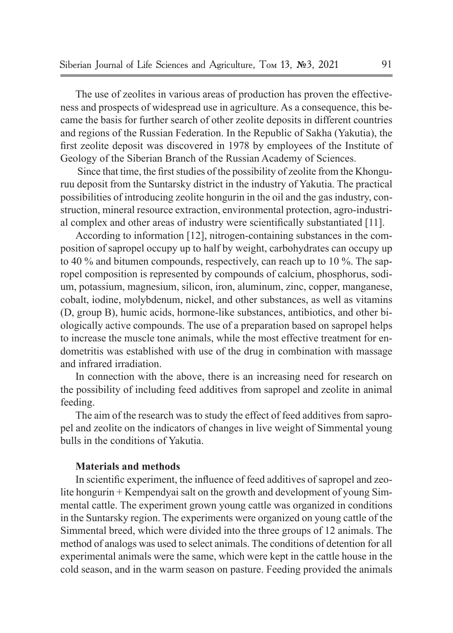The use of zeolites in various areas of production has proven the effectiveness and prospects of widespread use in agriculture. As a consequence, this became the basis for further search of other zeolite deposits in different countries and regions of the Russian Federation. In the Republic of Sakha (Yakutia), the first zeolite deposit was discovered in 1978 by employees of the Institute of Geology of the Siberian Branch of the Russian Academy of Sciences.

 Since that time, the first studies of the possibility of zeolite from the Khonguruu deposit from the Suntarsky district in the industry of Yakutia. The practical possibilities of introducing zeolite hongurin in the oil and the gas industry, construction, mineral resource extraction, environmental protection, agro-industrial complex and other areas of industry were scientifically substantiated [11].

According to information [12], nitrogen-containing substances in the composition of sapropel occupy up to half by weight, carbohydrates can occupy up to 40 % and bitumen compounds, respectively, can reach up to 10 %. The sapropel composition is represented by compounds of calcium, phosphorus, sodium, potassium, magnesium, silicon, iron, aluminum, zinc, copper, manganese, cobalt, iodine, molybdenum, nickel, and other substances, as well as vitamins (D, group B), humic acids, hormone-like substances, antibiotics, and other biologically active compounds. The use of a preparation based on sapropel helps to increase the muscle tone animals, while the most effective treatment for endometritis was established with use of the drug in combination with massage and infrared irradiation.

In connection with the above, there is an increasing need for research on the possibility of including feed additives from sapropel and zeolite in animal feeding.

The aim of the research was to study the effect of feed additives from sapropel and zeolite on the indicators of changes in live weight of Simmental young bulls in the conditions of Yakutia.

## **Materials and methods**

In scientific experiment, the influence of feed additives of sapropel and zeolite hongurin + Kempendyai salt on the growth and development of young Simmental cattle. The experiment grown young cattle was organized in conditions in the Suntarsky region. The experiments were organized on young cattle of the Simmental breed, which were divided into the three groups of 12 animals. The method of analogs was used to select animals. The conditions of detention for all experimental animals were the same, which were kept in the cattle house in the cold season, and in the warm season on pasture. Feeding provided the animals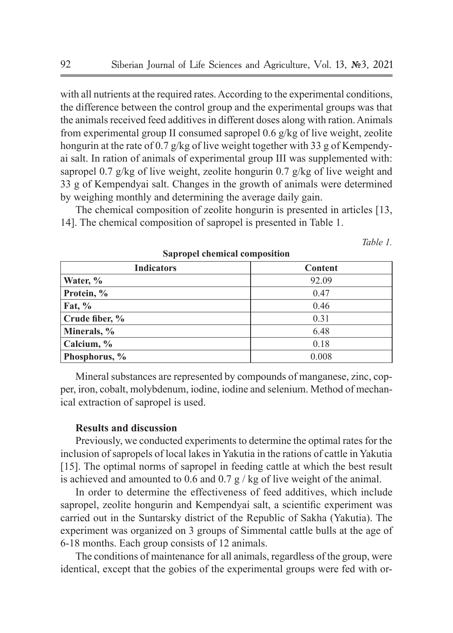with all nutrients at the required rates. According to the experimental conditions, the difference between the control group and the experimental groups was that the animals received feed additives in different doses along with ration. Animals from experimental group II consumed sapropel 0.6 g/kg of live weight, zeolite hongurin at the rate of 0.7 g/kg of live weight together with 33 g of Kempendyai salt. In ration of animals of experimental group III was supplemented with: sapropel 0.7 g/kg of live weight, zeolite hongurin 0.7 g/kg of live weight and 33 g of Kempendyai salt. Changes in the growth of animals were determined by weighing monthly and determining the average daily gain.

The chemical composition of zeolite hongurin is presented in articles [13, 14]. The chemical composition of sapropel is presented in Table 1.

*Table 1.*

| <b>Indicators</b> | Content |  |  |  |
|-------------------|---------|--|--|--|
| Water, %          | 92.09   |  |  |  |
| Protein, %        | 0.47    |  |  |  |
| Fat, $\%$         | 0.46    |  |  |  |
| Crude fiber, %    | 0.31    |  |  |  |
| Minerals, %       | 6.48    |  |  |  |
| Calcium, %        | 0.18    |  |  |  |
| Phosphorus, %     | 0.008   |  |  |  |

**Sapropel chemical composition**

Mineral substances are represented by compounds of manganese, zinc, copper, iron, cobalt, molybdenum, iodine, iodine and selenium. Method of mechanical extraction of sapropel is used.

## **Results and discussion**

Previously, we conducted experiments to determine the optimal rates for the inclusion of sapropels of local lakes in Yakutia in the rations of cattle in Yakutia [15]. The optimal norms of sapropel in feeding cattle at which the best result is achieved and amounted to 0.6 and 0.7  $\frac{\alpha}{2}$  / kg of live weight of the animal.

In order to determine the effectiveness of feed additives, which include sapropel, zeolite hongurin and Kempendyai salt, a scientific experiment was carried out in the Suntarsky district of the Republic of Sakha (Yakutia). The experiment was organized on 3 groups of Simmental cattle bulls at the age of 6-18 months. Each group consists of 12 animals.

The conditions of maintenance for all animals, regardless of the group, were identical, except that the gobies of the experimental groups were fed with or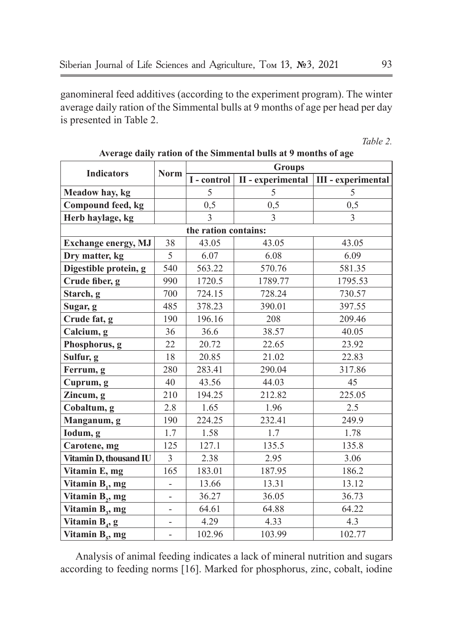ganomineral feed additives (according to the experiment program). The winter average daily ration of the Simmental bulls at 9 months of age per head per day is presented in Table 2.

*Table 2.*

| <b>Indicators</b>           |                          | <b>Groups</b>        |                   |                           |  |  |
|-----------------------------|--------------------------|----------------------|-------------------|---------------------------|--|--|
|                             | Norm                     | I - control          | II - experimental | <b>III</b> - experimental |  |  |
| Meadow hay, kg              |                          | 5                    | 5                 | 5                         |  |  |
| Compound feed, kg           |                          | 0,5                  | 0,5               | 0, 5                      |  |  |
| Herb haylage, kg            |                          | $\mathcal{E}$        | $\mathcal{E}$     | $\mathcal{E}$             |  |  |
|                             |                          | the ration contains: |                   |                           |  |  |
| <b>Exchange energy, MJ</b>  | 38                       | 43.05                | 43.05             | 43.05                     |  |  |
| Dry matter, kg              | 5                        | 6.07                 | 6.08              | 6.09                      |  |  |
| Digestible protein, g       | 540                      | 563.22               | 570.76            | 581.35                    |  |  |
| Crude fiber, g              | 990                      | 1720.5               | 1789.77           | 1795.53                   |  |  |
| Starch, g                   | 700                      | 724.15               | 728.24            | 730.57                    |  |  |
| Sugar, g                    | 485                      | 378.23               | 390.01            | 397.55                    |  |  |
| Crude fat, g                | 190                      | 196.16               | 208               | 209.46                    |  |  |
| Calcium, g                  | 36                       | 36.6                 | 38.57             | 40.05                     |  |  |
| Phosphorus, g               | 22                       | 20.72                | 22.65             | 23.92                     |  |  |
| Sulfur, g                   | 18                       | 20.85                | 21.02             | 22.83                     |  |  |
| Ferrum, g                   | 280                      | 283.41               | 290.04            | 317.86                    |  |  |
| Cuprum, g                   | 40                       | 43.56                | 44.03             | 45                        |  |  |
| Zincum, g                   | 210                      | 194.25               | 212.82            | 225.05                    |  |  |
| Cobaltum, g                 | 2.8                      | 1.65                 | 1.96              | 2.5                       |  |  |
| Manganum, g                 | 190                      | 224.25               | 232.41            | 249.9                     |  |  |
| Iodum, g                    | 1.7                      | 1.58                 | 1.7               | 1.78                      |  |  |
| Carotene, mg                | 125                      | 127.1                | 135.5             | 135.8                     |  |  |
| Vitamin D, thousand IU      | 3                        | 2.38                 | 2.95              | 3.06                      |  |  |
| Vitamin E, mg               | 165                      | 183.01               | 187.95            | 186.2                     |  |  |
| Vitamin $B_1$ , mg          | $\overline{\phantom{0}}$ | 13.66                | 13.31             | 13.12                     |  |  |
| Vitamin $B_2$ , mg          | $\overline{\phantom{0}}$ | 36.27                | 36.05             | 36.73                     |  |  |
| Vitamin $B_3$ , mg          | $\overline{\phantom{m}}$ | 64.61                | 64.88             | 64.22                     |  |  |
| Vitamin $B_4$ , g           | $\overline{\phantom{0}}$ | 4.29                 | 4.33              | 4.3                       |  |  |
| Vitamin B <sub>5</sub> , mg | $\frac{1}{2}$            | 102.96               | 103.99            | 102.77                    |  |  |

**Average daily ration of the Simmental bulls at 9 months of age**

Analysis of animal feeding indicates a lack of mineral nutrition and sugars according to feeding norms [16]. Marked for phosphorus, zinc, cobalt, iodine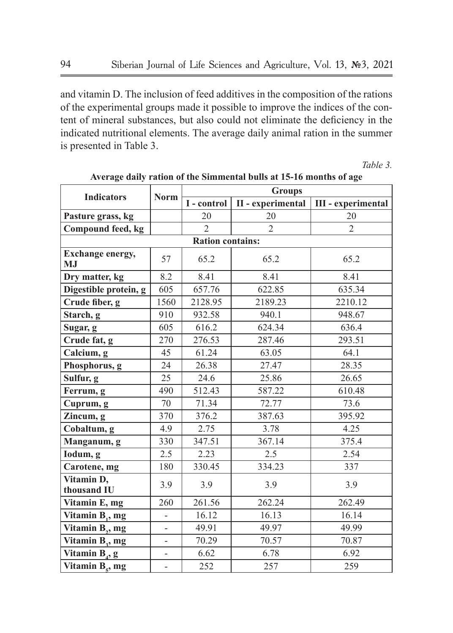and vitamin D. The inclusion of feed additives in the composition of the rations of the experimental groups made it possible to improve the indices of the content of mineral substances, but also could not eliminate the deficiency in the indicated nutritional elements. The average daily animal ration in the summer is presented in Table 3.

*Table 3.*

| <b>Indicators</b>               | <b>Norm</b>              | <b>Groups</b>    |                   |                           |  |  |  |  |
|---------------------------------|--------------------------|------------------|-------------------|---------------------------|--|--|--|--|
|                                 |                          | I - control      | II - experimental | <b>III</b> - experimental |  |  |  |  |
| Pasture grass, kg               |                          | 20               | 20                | 20                        |  |  |  |  |
| Compound feed, kg               |                          | $\overline{c}$   | $\overline{2}$    | $\overline{2}$            |  |  |  |  |
| <b>Ration contains:</b>         |                          |                  |                   |                           |  |  |  |  |
| Exchange energy,<br>$M_{\cdot}$ | 57                       | 65.2             | 65.2              | 65.2                      |  |  |  |  |
| Dry matter, kg                  | 8.2                      | 8.41             | 8.41              | 8.41                      |  |  |  |  |
| Digestible protein, g           | 605                      | 657.76           | 622.85            | 635.34                    |  |  |  |  |
| Crude fiber, g                  | 1560                     | 2128.95          | 2189.23           | 2210.12                   |  |  |  |  |
| Starch, g                       | 910                      | 932.58           | 940.1             | 948.67                    |  |  |  |  |
| Sugar, g                        | 605                      | 616.2            | 624.34            | 636.4                     |  |  |  |  |
| Crude fat, g                    | 270                      | 276.53           | 287.46            | 293.51                    |  |  |  |  |
| Calcium, g                      | 45                       | 61.24            | 63.05             | 64.1                      |  |  |  |  |
| Phosphorus, g                   | 24                       | 26.38            | 27.47             | 28.35                     |  |  |  |  |
| Sulfur, g                       | 25                       | 24.6             | 25.86             | 26.65                     |  |  |  |  |
| Ferrum, g                       | 490                      | 512.43           | 587.22            | 610.48                    |  |  |  |  |
| Cuprum, g                       | 70                       | 71.34            | 72.77             | 73.6                      |  |  |  |  |
| Zincum, g                       | 370                      | 376.2            | 387.63            | 395.92                    |  |  |  |  |
| Cobaltum, g                     | 4.9                      | 2.75             | 3.78              | 4.25                      |  |  |  |  |
| Manganum, g                     | 330                      | 347.51           | 367.14            | 375.4                     |  |  |  |  |
| Iodum, g                        | 2.5                      | 2.23             | 2.5               | 2.54                      |  |  |  |  |
| Carotene, mg                    | 180                      | 330.45           | 334.23            | 337                       |  |  |  |  |
| Vitamin D,<br>thousand IU       | 3.9                      | 3.9              | 3.9               | 3.9                       |  |  |  |  |
| Vitamin E, mg                   | 260                      | 262.24<br>261.56 |                   | 262.49                    |  |  |  |  |
| Vitamin B <sub>1</sub> , mg     | $\overline{\phantom{0}}$ | 16.12            | 16.13             | 16.14                     |  |  |  |  |
| Vitamin B <sub>2</sub> , mg     |                          | 49.91            | 49.97             | 49.99                     |  |  |  |  |
| Vitamin $B_3$ , mg              | $\overline{\phantom{0}}$ | 70.29            | 70.57             | 70.87                     |  |  |  |  |
| Vitamin $B_4$ , g               |                          | 6.62             | 6.78              | 6.92                      |  |  |  |  |
| Vitamin B <sub>s</sub> , mg     | $\overline{\phantom{0}}$ | 252              | 257               | 259                       |  |  |  |  |

**Average daily ration of the Simmental bulls at 15-16 months of age**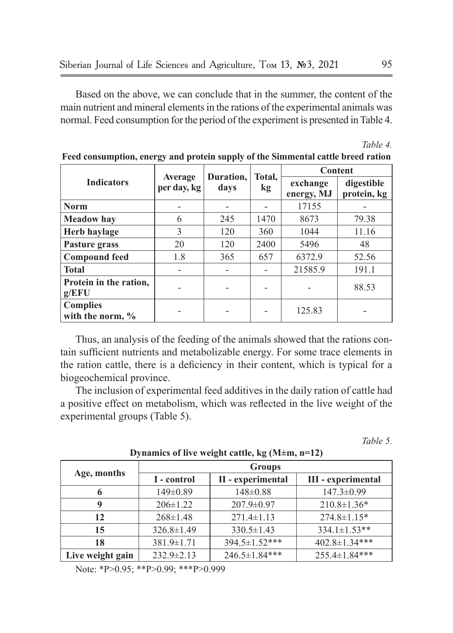Based on the above, we can conclude that in the summer, the content of the main nutrient and mineral elements in the rations of the experimental animals was normal. Feed consumption for the period of the experiment is presented in Table 4.

| <b>Indicators</b>                      | Average<br>per day, kg | Duration.<br>davs | Total. | <b>Content</b>         |                           |  |
|----------------------------------------|------------------------|-------------------|--------|------------------------|---------------------------|--|
|                                        |                        |                   | kg     | exchange<br>energy, MJ | digestible<br>protein, kg |  |
| <b>Norm</b>                            |                        |                   |        | 17155                  |                           |  |
| <b>Meadow</b> hay                      | 6                      | 245               | 1470   | 8673                   | 79.38                     |  |
| Herb haylage                           | 3                      | 120               | 360    | 1044                   | 11.16                     |  |
| Pasture grass                          | 20                     | 120               | 2400   | 5496                   | 48                        |  |
| <b>Compound feed</b>                   | 1.8                    | 365               | 657    | 6372.9                 | 52.56                     |  |
| <b>Total</b>                           |                        |                   |        | 21585.9                | 191.1                     |  |
| Protein in the ration,<br>g/EFU        |                        |                   |        |                        | 88.53                     |  |
| <b>Complies</b><br>with the norm, $\%$ |                        |                   |        | 125.83                 |                           |  |

**Feed consumption, energy and protein supply of the Simmental cattle breed ration**

Thus, an analysis of the feeding of the animals showed that the rations contain sufficient nutrients and metabolizable energy. For some trace elements in the ration cattle, there is a deficiency in their content, which is typical for a biogeochemical province.

The inclusion of experimental feed additives in the daily ration of cattle had a positive effect on metabolism, which was reflected in the live weight of the experimental groups (Table 5).

*Table 5.*

| Age, months      | <b>Groups</b>    |                     |                      |  |  |
|------------------|------------------|---------------------|----------------------|--|--|
|                  | I - control      | II - experimental   | III - experimental   |  |  |
| 6                | $149 \pm 0.89$   | $148 \pm 0.88$      | $147.3 \pm 0.99$     |  |  |
| 9                | $206 \pm 1.22$   | $207.9 \pm 0.97$    | $210.8 \pm 1.36*$    |  |  |
| 12               | $268 \pm 1.48$   | $271.4 \pm 1.13$    | $274.8 \pm 1.15*$    |  |  |
| 15               | $326.8 \pm 1.49$ | $330.5 \pm 1.43$    | $334.1 \pm 1.53$ **  |  |  |
| 18               | $381.9 \pm 1.71$ | 394.5±1.52***       | $402.8 \pm 1.34$ *** |  |  |
| Live weight gain | $232.9 \pm 2.13$ | $246.5 \pm 1.84***$ | $255.4 \pm 1.84$ *** |  |  |

**Dynamics of live weight cattle, kg (M±m, n=12)**

Note: \*P>0.95; \*\*P>0.99; \*\*\*P>0.999

*Table 4.*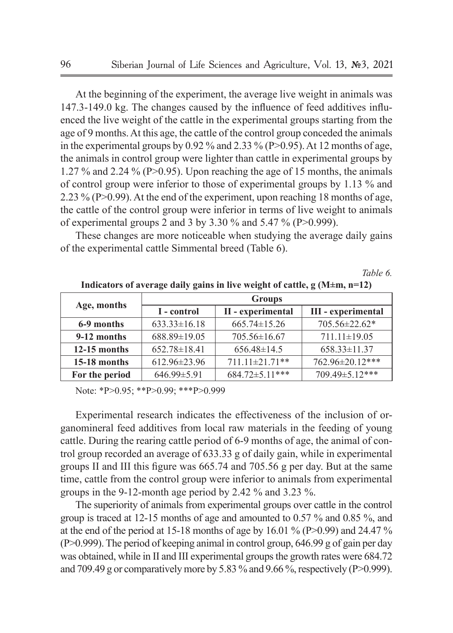At the beginning of the experiment, the average live weight in animals was 147.3-149.0 kg. The changes caused by the influence of feed additives influenced the live weight of the cattle in the experimental groups starting from the age of 9 months. At this age, the cattle of the control group conceded the animals in the experimental groups by 0.92 % and 2.33 % (P>0.95). At 12 months of age, the animals in control group were lighter than cattle in experimental groups by 1.27 % and 2.24 % (P>0.95). Upon reaching the age of 15 months, the animals of control group were inferior to those of experimental groups by 1.13 % and 2.23 % (P>0.99). At the end of the experiment, upon reaching 18 months of age, the cattle of the control group were inferior in terms of live weight to animals of experimental groups 2 and 3 by 3.30 % and 5.47 % (P>0.999).

These changes are more noticeable when studying the average daily gains of the experimental cattle Simmental breed (Table 6).

#### *Table 6.*

| Age, months    | <b>Groups</b>      |                    |                           |  |  |  |
|----------------|--------------------|--------------------|---------------------------|--|--|--|
|                | I - control        | II - experimental  | <b>III</b> - experimental |  |  |  |
| 6-9 months     | $633.33 \pm 16.18$ | $665.74 \pm 15.26$ | 705.56±22.62*             |  |  |  |
| 9-12 months    | 688.89±19.05       | $705.56 \pm 16.67$ | $711.11 \pm 19.05$        |  |  |  |
| $12-15$ months | $652.78 \pm 18.41$ | $656.48 \pm 14.5$  | $658.33 \pm 11.37$        |  |  |  |
| 15-18 months   | $612.96 \pm 23.96$ | 711.11±21.71**     | 762.96±20.12***           |  |  |  |
| For the period | $646.99 \pm 5.91$  | 684.72±5.11***     | 709.49±5.12***            |  |  |  |

**Indicators of average daily gains in live weight of cattle, g (M±m, n=12)**

Note: \*P>0.95; \*\*P>0.99; \*\*\*P>0.999

Experimental research indicates the effectiveness of the inclusion of organomineral feed additives from local raw materials in the feeding of young cattle. During the rearing cattle period of 6-9 months of age, the animal of control group recorded an average of 633.33 g of daily gain, while in experimental groups II and III this figure was 665.74 and 705.56 g per day. But at the same time, cattle from the control group were inferior to animals from experimental groups in the 9-12-month age period by 2.42 % and 3.23 %.

The superiority of animals from experimental groups over cattle in the control group is traced at 12-15 months of age and amounted to 0.57 % and 0.85 %, and at the end of the period at 15-18 months of age by 16.01 % (P $>0.99$ ) and 24.47 % (P>0.999). The period of keeping animal in control group, 646.99 g of gain per day was obtained, while in II and III experimental groups the growth rates were 684.72 and 709.49 g or comparatively more by 5.83  $\%$  and 9.66  $\%$ , respectively (P $>0.999$ ).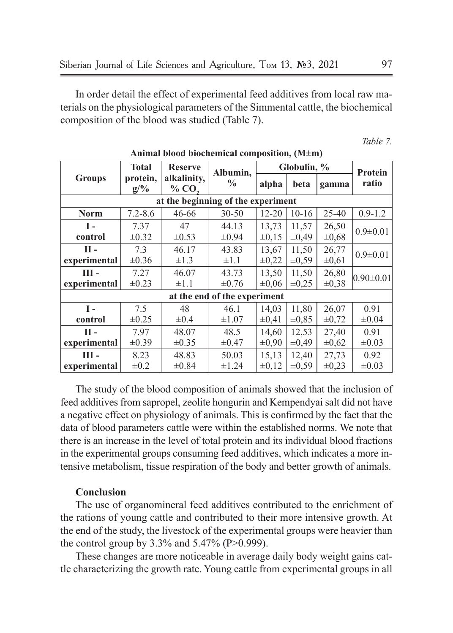In order detail the effect of experimental feed additives from local raw materials on the physiological parameters of the Simmental cattle, the biochemical composition of the blood was studied (Table 7).

*Table 7.*

|               | <b>Total</b>    | <b>Reserve</b>                     | Albumin,                     | Globulin, % |            |            | Protein         |
|---------------|-----------------|------------------------------------|------------------------------|-------------|------------|------------|-----------------|
| <b>Groups</b> | protein,<br>g/% | alkalinity,<br>% CO <sub>2</sub>   | $\frac{6}{9}$                | alpha       | beta       | gamma      | ratio           |
|               |                 | at the beginning of the experiment |                              |             |            |            |                 |
| Norm          | $7.2 - 8.6$     | 46-66                              | $30 - 50$                    | $12 - 20$   | $10 - 16$  | $25 - 40$  | $0.9 - 1.2$     |
| $\mathbf{I}$  | 7.37            | 47                                 | 44.13                        | 13.73       | 11,57      | 26,50      | $0.9 \pm 0.01$  |
| control       | $\pm 0.32$      | $\pm 0.53$                         | $\pm 0.94$                   | $\pm 0.15$  | $\pm 0.49$ | $\pm 0.68$ |                 |
| п.            | 7.3             | 46.17                              | 43.83                        | 13,67       | 11,50      | 26,77      | $0.9 \pm 0.01$  |
| experimental  | $\pm 0.36$      | $\pm 1.3$                          | $\pm 1.1$                    | $\pm 0.22$  | $\pm 0.59$ | $\pm 0.61$ |                 |
| ш-            | 7.27            | 46.07                              | 43.73                        | 13,50       | 11,50      | 26,80      | $0.90 \pm 0.01$ |
| experimental  | $\pm 0.23$      | $\pm 1.1$                          | $\pm 0.76$                   | $\pm 0,06$  | $\pm 0,25$ | $\pm 0.38$ |                 |
|               |                 |                                    | at the end of the experiment |             |            |            |                 |
| $\mathbf{I}$  | 7.5             | 48                                 | 46.1                         | 14,03       | 11,80      | 26,07      | 0.91            |
| control       | $\pm 0.25$      | $\pm 0.4$                          | $\pm 1.07$                   | $\pm 0.41$  | $\pm 0.85$ | $\pm 0.72$ | $\pm 0.04$      |
| п.            | 7.97            | 48.07                              | 48.5                         | 14,60       | 12,53      | 27,40      | 0.91            |
| experimental  | $\pm 0.39$      | $\pm 0.35$                         | $\pm 0.47$                   | $\pm 0.90$  | $\pm 0.49$ | $\pm 0.62$ | $\pm 0.03$      |
| ш-            | 8.23            | 48.83                              | 50.03                        | 15,13       | 12,40      | 27,73      | 0.92            |
| experimental  | $\pm 0.2$       | $\pm 0.84$                         | $\pm 1.24$                   | $\pm 0.12$  | $\pm 0.59$ | $\pm 0.23$ | $\pm 0.03$      |

**Animal blood biochemical composition, (M±m)**

The study of the blood composition of animals showed that the inclusion of feed additives from sapropel, zeolite hongurin and Kempendyai salt did not have a negative effect on physiology of animals. This is confirmed by the fact that the data of blood parameters cattle were within the established norms. We note that there is an increase in the level of total protein and its individual blood fractions in the experimental groups consuming feed additives, which indicates a more intensive metabolism, tissue respiration of the body and better growth of animals.

#### **Conclusion**

The use of organomineral feed additives contributed to the enrichment of the rations of young cattle and contributed to their more intensive growth. At the end of the study, the livestock of the experimental groups were heavier than the control group by  $3.3\%$  and  $5.47\%$  (P $>0.999$ ).

These changes are more noticeable in average daily body weight gains cattle characterizing the growth rate. Young cattle from experimental groups in all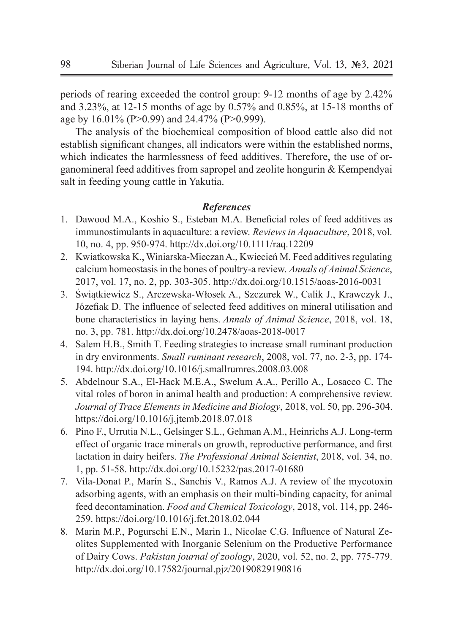periods of rearing exceeded the control group: 9-12 months of age by 2.42% and 3.23%, at 12-15 months of age by 0.57% and 0.85%, at 15-18 months of age by 16.01% (P>0.99) and 24.47% (P>0.999).

The analysis of the biochemical composition of blood cattle also did not establish significant changes, all indicators were within the established norms, which indicates the harmlessness of feed additives. Therefore, the use of organomineral feed additives from sapropel and zeolite hongurin & Kempendyai salt in feeding young cattle in Yakutia.

### *References*

- 1. Dawood M.A., Koshio S., Esteban M.A. Beneficial roles of feed additives as immunostimulants in aquaculture: a review. *Reviews in Aquaculture*, 2018, vol. 10, no. 4, pp. 950-974. http://dx.doi.org/10.1111/raq.12209
- 2. Kwiatkowska K., Winiarska-Mieczan A., Kwiecień M. Feed additives regulating calcium homeostasis in the bones of poultry-a review. *Annals of Animal Science*, 2017, vol. 17, no. 2, pp. 303-305. http://dx.doi.org/10.1515/aoas-2016-0031
- 3. Świątkiewicz S., Arczewska-Włosek A., Szczurek W., Calik J., Krawczyk J., Józefiak D. The influence of selected feed additives on mineral utilisation and bone characteristics in laying hens. *Annals of Animal Science*, 2018, vol. 18, no. 3, pp. 781. http://dx.doi.org/10.2478/aoas-2018-0017
- 4. Salem H.B., Smith T. Feeding strategies to increase small ruminant production in dry environments. *Small ruminant research*, 2008, vol. 77, no. 2-3, pp. 174- 194. http://dx.doi.org/10.1016/j.smallrumres.2008.03.008
- 5. Abdelnour S.A., El-Hack M.E.A., Swelum A.A., Perillo A., Losacco C. The vital roles of boron in animal health and production: A comprehensive review. *Journal of Trace Elements in Medicine and Biology*, 2018, vol. 50, pp. 296-304. https://doi.org/10.1016/j.jtemb.2018.07.018
- 6. Pino F., Urrutia N.L., Gelsinger S.L., Gehman A.M., Heinrichs A.J. Long-term effect of organic trace minerals on growth, reproductive performance, and first lactation in dairy heifers. *The Professional Animal Scientist*, 2018, vol. 34, no. 1, pp. 51-58. http://dx.doi.org/10.15232/pas.2017-01680
- 7. Vila-Donat P., Marín S., Sanchis V., Ramos A.J. A review of the mycotoxin adsorbing agents, with an emphasis on their multi-binding capacity, for animal feed decontamination. *Food and Chemical Toxicology*, 2018, vol. 114, pp. 246- 259. https://doi.org/10.1016/j.fct.2018.02.044
- 8. Marin M.P., Pogurschi E.N., Marin I., Nicolae C.G. Influence of Natural Zeolites Supplemented with Inorganic Selenium on the Productive Performance of Dairy Cows. *Pakistan journal of zoology*, 2020, vol. 52, no. 2, pp. 775-779. http://dx.doi.org/10.17582/journal.pjz/20190829190816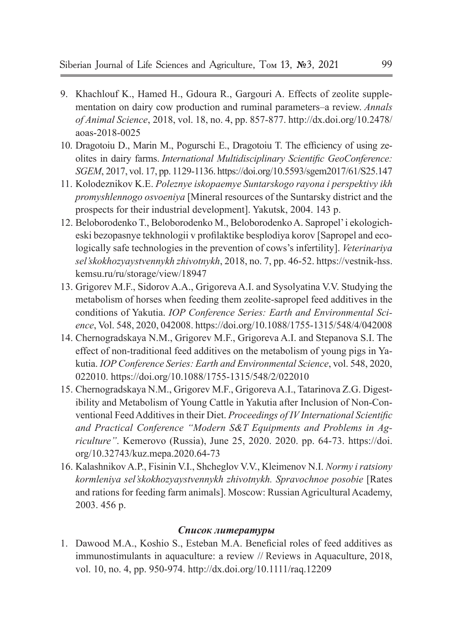- 9. Khachlouf K., Hamed H., Gdoura R., Gargouri A. Effects of zeolite supplementation on dairy cow production and ruminal parameters–a review. *Annals of Animal Science*, 2018, vol. 18, no. 4, pp. 857-877. http://dx.doi.org/10.2478/ aoas-2018-0025
- 10. Dragotoiu D., Marin M., Pogurschi E., Dragotoiu T. The efficiency of using zeolites in dairy farms. *International Multidisciplinary Scientific GeoConference: SGEM*, 2017, vol. 17, pp. 1129-1136. https://doi.org/10.5593/sgem2017/61/S25.147
- 11. Kolodeznikov K.E. *Poleznye iskopaemye Suntarskogo rayona i perspektivy ikh promyshlennogo osvoeniya* [Mineral resources of the Suntarsky district and the prospects for their industrial development]. Yakutsk, 2004. 143 p.
- 12. Beloborodenko T., Beloborodenko M., Beloborodenko A. Sapropel' i ekologicheski bezopasnye tekhnologii v profilaktike besplodiya korov [Sapropel and ecologically safe technologies in the prevention of cows's infertility]. *Veterinariya sel'skokhozyaystvennykh zhivotnykh*, 2018, no. 7, pp. 46-52. https://vestnik-hss. kemsu.ru/ru/storage/view/18947
- 13. Grigorev M.F., Sidorov A.A., Grigoreva A.I. and Sysolyatina V.V. Studying the metabolism of horses when feeding them zeolite-sapropel feed additives in the conditions of Yakutia. *IOP Conference Series: Earth and Environmental Science*, Vol. 548, 2020, 042008. https://doi.org/10.1088/1755-1315/548/4/042008
- 14. Chernogradskaya N.M., Grigorev M.F., Grigoreva A.I. and Stepanova S.I. The effect of non-traditional feed additives on the metabolism of young pigs in Yakutia. *IOP Conference Series: Earth and Environmental Science*, vol. 548, 2020, 022010. https://doi.org/10.1088/1755-1315/548/2/022010
- 15. Chernogradskaya N.M., Grigorev M.F., Grigoreva A.I., Tatarinova Z.G. Digestibility and Metabolism of Young Cattle in Yakutia after Inclusion of Non-Conventional Feed Additives in their Diet. *Proceedings of IV International Scientific and Practical Conference "Modern S&T Equipments and Problems in Agriculture"*. Kemerovo (Russia), June 25, 2020. 2020. pp. 64-73. https://doi. org/10.32743/kuz.mepa.2020.64-73
- 16. Kalashnikov A.P., Fisinin V.I., Shcheglov V.V., Kleimenov N.I. *Normy i ratsiony kormleniya sel'skokhozyaystvennykh zhivotnykh. Spravochnoe posobie* [Rates and rations for feeding farm animals]. Moscow: Russian Agricultural Academy, 2003. 456 p.

### *Список литературы*

1. Dawood M.A., Koshio S., Esteban M.A. Beneficial roles of feed additives as immunostimulants in aquaculture: a review // Reviews in Aquaculture, 2018, vol. 10, no. 4, pp. 950-974. http://dx.doi.org/10.1111/raq.12209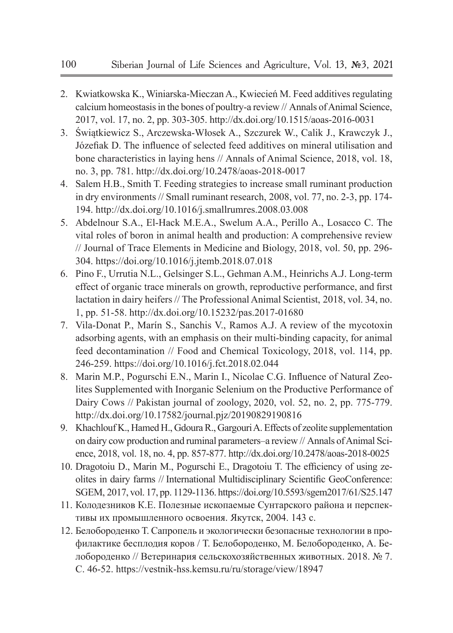- 2. Kwiatkowska K., Winiarska-Mieczan A., Kwiecień M. Feed additives regulating calcium homeostasis in the bones of poultry-a review // Annals of Animal Science, 2017, vol. 17, no. 2, pp. 303-305. http://dx.doi.org/10.1515/aoas-2016-0031
- 3. Świątkiewicz S., Arczewska-Włosek A., Szczurek W., Calik J., Krawczyk J., Józefiak D. The influence of selected feed additives on mineral utilisation and bone characteristics in laying hens // Annals of Animal Science, 2018, vol. 18, no. 3, pp. 781. http://dx.doi.org/10.2478/aoas-2018-0017
- 4. Salem H.B., Smith T. Feeding strategies to increase small ruminant production in dry environments // Small ruminant research, 2008, vol. 77, no. 2-3, pp. 174- 194. http://dx.doi.org/10.1016/j.smallrumres.2008.03.008
- 5. Abdelnour S.A., El-Hack M.E.A., Swelum A.A., Perillo A., Losacco C. The vital roles of boron in animal health and production: A comprehensive review // Journal of Trace Elements in Medicine and Biology, 2018, vol. 50, pp. 296- 304. https://doi.org/10.1016/j.jtemb.2018.07.018
- 6. Pino F., Urrutia N.L., Gelsinger S.L., Gehman A.M., Heinrichs A.J. Long-term effect of organic trace minerals on growth, reproductive performance, and first lactation in dairy heifers // The Professional Animal Scientist, 2018, vol. 34, no. 1, pp. 51-58. http://dx.doi.org/10.15232/pas.2017-01680
- 7. Vila-Donat P., Marín S., Sanchis V., Ramos A.J. A review of the mycotoxin adsorbing agents, with an emphasis on their multi-binding capacity, for animal feed decontamination // Food and Chemical Toxicology, 2018, vol. 114, pp. 246-259. https://doi.org/10.1016/j.fct.2018.02.044
- 8. Marin M.P., Pogurschi E.N., Marin I., Nicolae C.G. Influence of Natural Zeolites Supplemented with Inorganic Selenium on the Productive Performance of Dairy Cows // Pakistan journal of zoology, 2020, vol. 52, no. 2, pp. 775-779. http://dx.doi.org/10.17582/journal.pjz/20190829190816
- 9. Khachlouf K., Hamed H., Gdoura R., Gargouri A. Effects of zeolite supplementation on dairy cow production and ruminal parameters–a review // Annals of Animal Science, 2018, vol. 18, no. 4, pp. 857-877. http://dx.doi.org/10.2478/aoas-2018-0025
- 10. Dragotoiu D., Marin M., Pogurschi E., Dragotoiu T. The efficiency of using zeolites in dairy farms // International Multidisciplinary Scientific GeoConference: SGEM, 2017, vol. 17, pp. 1129-1136. https://doi.org/10.5593/sgem2017/61/S25.147
- 11. Колодезников К.Е. Полезные ископаемые Сунтарского района и перспективы их промышленного освоения. Якутск, 2004. 143 с.
- 12. Белобороденко Т. Сапропель и экологически безопасные технологии в профилактике бесплодия коров / Т. Белобороденко, М. Белобороденко, А. Белобороденко // Ветеринария сельскохозяйственных животных. 2018. № 7. С. 46-52. https://vestnik-hss.kemsu.ru/ru/storage/view/18947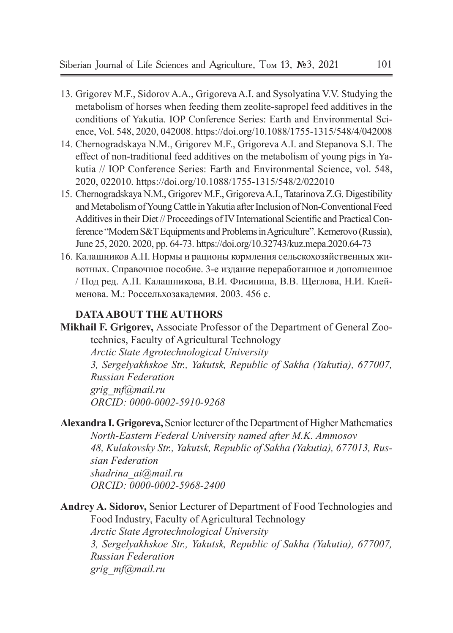- 13. Grigorev M.F., Sidorov A.A., Grigoreva A.I. and Sysolyatina V.V. Studying the metabolism of horses when feeding them zeolite-sapropel feed additives in the conditions of Yakutia. IOP Conference Series: Earth and Environmental Science, Vol. 548, 2020, 042008. https://doi.org/10.1088/1755-1315/548/4/042008
- 14. Chernogradskaya N.M., Grigorev M.F., Grigoreva A.I. and Stepanova S.I. The effect of non-traditional feed additives on the metabolism of young pigs in Yakutia // IOP Conference Series: Earth and Environmental Science, vol. 548, 2020, 022010. https://doi.org/10.1088/1755-1315/548/2/022010
- 15. Chernogradskaya N.M., Grigorev M.F., Grigoreva A.I., Tatarinova Z.G. Digestibility and Metabolism of Young Cattle in Yakutia after Inclusion of Non-Conventional Feed Additives in their Diet // Proceedings of IV International Scientific and Practical Conference "Modern S&T Equipments and Problems in Agriculture". Kemerovo (Russia), June 25, 2020. 2020, pp. 64-73. https://doi.org/10.32743/kuz.mepa.2020.64-73
- 16. Калашников А.П. Нормы и рационы кормления сельскохозяйственных животных. Справочное пособие. 3-е издание переработанное и дополненное / Под ред. А.П. Калашникова, В.И. Фисинина, В.В. Щеглова, Н.И. Клейменова. М.: Россельхозакадемия. 2003. 456 с.

## **DATA ABOUT THE AUTHORS**

**Mikhail F. Grigorev,** Associate Professor of the Department of General Zootechnics, Faculty of Agricultural Technology

*Arctic State Agrotechnological University*

*3, Sergelyakhskoe Str., Yakutsk, Republic of Sakha (Yakutia), 677007, Russian Federation grig\_mf@mail.ru ORCID: 0000-0002-5910-9268*

**Alexandra I. Grigoreva,** Senior lecturer of the Department of Higher Mathematics *North-Eastern Federal University named after M.K. Ammosov 48, Kulakovsky Str., Yakutsk, Republic of Sakha (Yakutia), 677013, Russian Federation shadrina\_ai@mail.ru ORCID: 0000-0002-5968-2400*

**Andrey A. Sidorov,** Senior Lecturer of Department of Food Technologies and Food Industry, Faculty of Agricultural Technology *Arctic State Agrotechnological University 3, Sergelyakhskoe Str., Yakutsk, Republic of Sakha (Yakutia), 677007, Russian Federation grig\_mf@mail.ru*